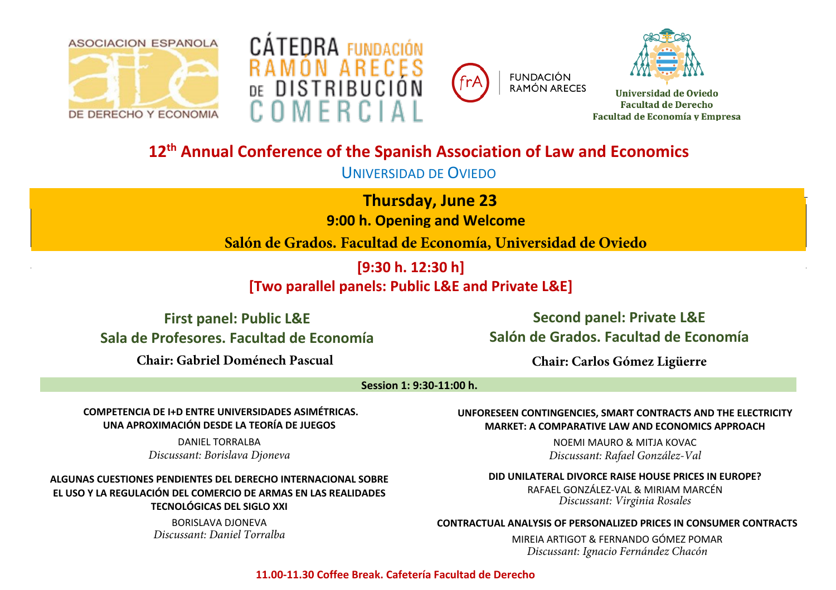





**FUNDACIÓN RAMÓN ARECES** 



Universidad de Oviedo **Facultad de Derecho Facultad de Economía y Empresa** 

# **12th Annual Conference of the Spanish Association of Law and Economics**

UNIVERSIDAD DE OVIEDO

**Thursday, June 23** 

**9:00 h. Opening and Welcome**

**Salón de Grados. Facultad de Economía, Universidad de Oviedo**

**[9:30 h. 12:30 h]** 

**[Two parallel panels: Public L&E and Private L&E]**

**First panel: Public L&E Sala de Profesores. Facultad de Economía**

**Chair: Gabriel Doménech Pascual**

**Second panel: Private L&E Salón de Grados. Facultad de Economía** 

**Chair: Carlos Gómez Ligüerre**

### **Session 1: 9:30-11:00 h.**

**COMPETENCIA DE I+D ENTRE UNIVERSIDADES ASIMÉTRICAS. UNA APROXIMACIÓN DESDE LA TEORÍA DE JUEGOS** 

> DANIEL TORRALBA *Discussant: Borislava Djoneva*

**ALGUNAS CUESTIONES PENDIENTES DEL DERECHO INTERNACIONAL SOBRE EL USO Y LA REGULACIÓN DEL COMERCIO DE ARMAS EN LAS REALIDADES TECNOLÓGICAS DEL SIGLO XXI** 

> BORISLAVA DJONEVA *Discussant: Daniel Torralba*

**UNFORESEEN CONTINGENCIES, SMART CONTRACTS AND THE ELECTRICITY MARKET: A COMPARATIVE LAW AND ECONOMICS APPROACH** 

> NOEMI MAURO & MITJA KOVAC *Discussant: Rafael González-Val*

**DID UNILATERAL DIVORCE RAISE HOUSE PRICES IN EUROPE?** 

RAFAEL GONZÁLEZ-VAL & MIRIAM MARCÉN *Discussant: Virginia Rosales*

### **CONTRACTUAL ANALYSIS OF PERSONALIZED PRICES IN CONSUMER CONTRACTS**

MIREIA ARTIGOT & FERNANDO GÓMEZ POMAR *Discussant: Ignacio Fernández Chacón*

**11.00-11.30 Coffee Break. Cafetería Facultad de Derecho**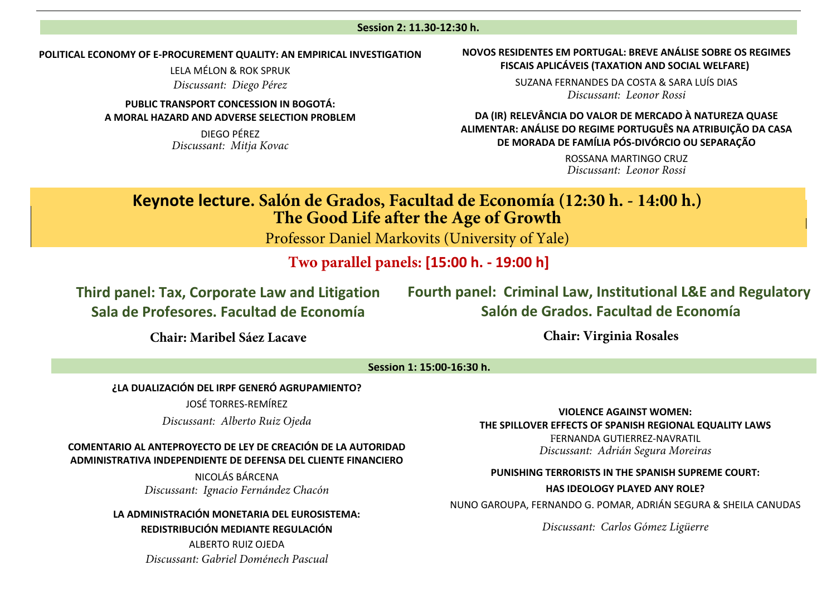#### **Session 2: 11.30-12:30 h.**

#### **POLITICAL ECONOMY OF E-PROCUREMENT QUALITY: AN EMPIRICAL INVESTIGATION**

LELA MÉLON & ROK SPRUK *Discussant: Diego Pérez*

**PUBLIC TRANSPORT CONCESSION IN BOGOTÁ: A MORAL HAZARD AND ADVERSE SELECTION PROBLEM** 

> DIEGO PÉREZ *Discussant: Mitja Kovac*

### **NOVOS RESIDENTES EM PORTUGAL: BREVE ANÁLISE SOBRE OS REGIMES FISCAIS APLICÁVEIS (TAXATION AND SOCIAL WELFARE)**

SUZANA FERNANDES DA COSTA & SARA LUÍS DIAS *Discussant: Leonor Rossi*

**DA (IR) RELEVÂNCIA DO VALOR DE MERCADO À NATUREZA QUASE ALIMENTAR: ANÁLISE DO REGIME PORTUGUÊS NA ATRIBUIÇÃO DA CASA DE MORADA DE FAMÍLIA PÓS-DIVÓRCIO OU SEPARAÇÃO** 

> ROSSANA MARTINGO CRUZ *Discussant: Leonor Rossi*

## **Keynote lecture. Salón de Grados, Facultad de Economía (12:30 h. - 14:00 h.) The Good Life after the Age of Growth**

Professor Daniel Markovits (University of Yale)

**Two parallel panels: [15:00 h. - 19:00 h]** 

**Third panel: Tax, Corporate Law and Litigation Sala de Profesores. Facultad de Economía**

**Fourth panel: Criminal Law, Institutional L&E and Regulatory Salón de Grados. Facultad de Economía** 

**Chair: Maribel Sáez Lacave**

**Chair: Virginia Rosales**

### **Session 1: 15:00-16:30 h.**

### **¿LA DUALIZACIÓN DEL IRPF GENERÓ AGRUPAMIENTO?**

JOSÉ TORRES-REMÍREZ

*Discussant: Alberto Ruiz Ojeda*

### **COMENTARIO AL ANTEPROYECTO DE LEY DE CREACIÓN DE LA AUTORIDAD ADMINISTRATIVA INDEPENDIENTE DE DEFENSA DEL CLIENTE FINANCIERO**

NICOLÁS BÁRCENA *Discussant: Ignacio Fernández Chacón*

**LA ADMINISTRACIÓN MONETARIA DEL EUROSISTEMA: REDISTRIBUCIÓN MEDIANTE REGULACIÓN** 

> ALBERTO RUIZ OJEDA *Discussant: Gabriel Doménech Pascual*

**VIOLENCE AGAINST WOMEN: THE SPILLOVER EFFECTS OF SPANISH REGIONAL EQUALITY LAWS** 

FERNANDA GUTIERREZ-NAVRATIL *Discussant: Adrián Segura Moreiras*

#### **PUNISHING TERRORISTS IN THE SPANISH SUPREME COURT:**

**HAS IDEOLOGY PLAYED ANY ROLE?** 

NUNO GAROUPA, FERNANDO G. POMAR, ADRIÁN SEGURA & SHEILA CANUDAS

*Discussant: Carlos Gómez Ligüerre*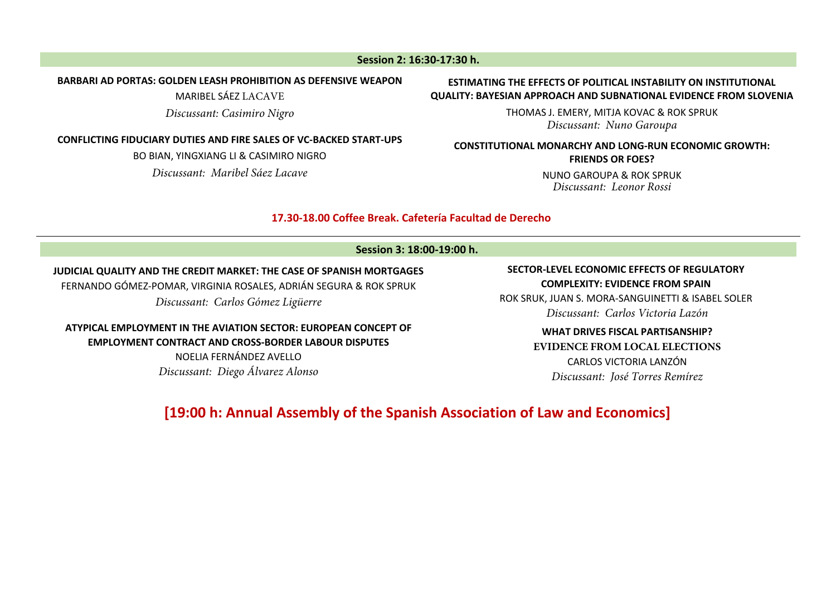### **Session 2: 16:30-17:30 h.**

### **BARBARI AD PORTAS: GOLDEN LEASH PROHIBITION AS DEFENSIVE WEAPON**

MARIBEL SÁEZ LACAVE

*Discussant: Casimiro Nigro*

### **CONFLICTING FIDUCIARY DUTIES AND FIRE SALES OF VC-BACKED START-UPS**

BO BIAN, YINGXIANG LI & CASIMIRO NIGRO *Discussant: Maribel Sáez Lacave*

### **ESTIMATING THE EFFECTS OF POLITICAL INSTABILITY ON INSTITUTIONAL QUALITY: BAYESIAN APPROACH AND SUBNATIONAL EVIDENCE FROM SLOVENIA**

THOMAS J. EMERY, MITJA KOVAC & ROK SPRUK *Discussant: Nuno Garoupa*

### **CONSTITUTIONAL MONARCHY AND LONG-RUN ECONOMIC GROWTH: FRIENDS OR FOES?**

NUNO GAROUPA & ROK SPRUK *Discussant: Leonor Rossi*

### **17.30-18.00 Coffee Break. Cafetería Facultad de Derecho**

### **Session 3: 18:00-19:00 h.**

### **JUDICIAL QUALITY AND THE CREDIT MARKET: THE CASE OF SPANISH MORTGAGES**

FERNANDO GÓMEZ-POMAR, VIRGINIA ROSALES, ADRIÁN SEGURA & ROK SPRUK *Discussant: Carlos Gómez Ligüerre*

**ATYPICAL EMPLOYMENT IN THE AVIATION SECTOR: EUROPEAN CONCEPT OF EMPLOYMENT CONTRACT AND CROSS-BORDER LABOUR DISPUTES**  NOELIA FERNÁNDEZ AVELLO *Discussant: Diego Álvarez Alonso*

### **SECTOR-LEVEL ECONOMIC EFFECTS OF REGULATORY COMPLEXITY: EVIDENCE FROM SPAIN**

ROK SRUK, JUAN S. MORA-SANGUINETTI & ISABEL SOLER *Discussant: Carlos Victoria Lazón*

> **WHAT DRIVES FISCAL PARTISANSHIP? EVIDENCE FROM LOCAL ELECTIONS** CARLOS VICTORIA LANZÓN *Discussant: José Torres Remírez*

### **[19:00 h: Annual Assembly of the Spanish Association of Law and Economics]**